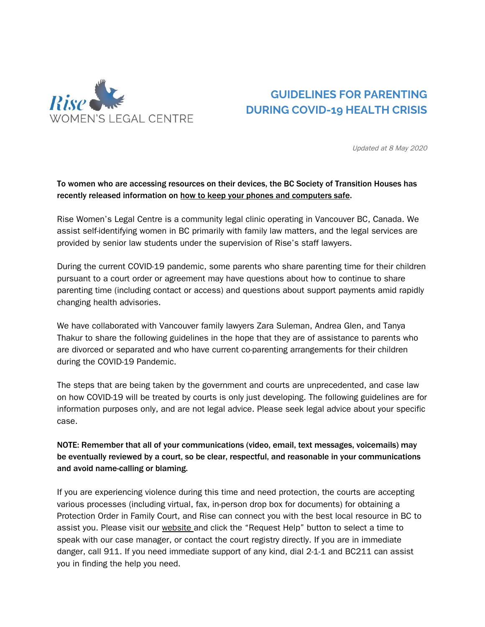

# **GUIDELINES FOR PARENTING DURING COVID-19 HEALTH CRISIS**

Updated at 8 May 2020

#### To women who are accessing resources on their devices, the BC Society of Transition Houses has recently released information on how to keep your phones and [computers](https://bcsth.ca/projects/technology-safety/) safe.

Rise Women's Legal Centre is a community legal clinic operating in Vancouver BC, Canada. We assist self-identifying women in BC primarily with family law matters, and the legal services are provided by senior law students under the supervision of Rise's staff lawyers.

During the current COVID-19 pandemic, some parents who share parenting time for their children pursuant to a court order or agreement may have questions about how to continue to share parenting time (including contact or access) and questions about support payments amid rapidly changing health advisories.

We have collaborated with Vancouver family lawyers Zara Suleman, Andrea Glen, and Tanya Thakur to share the following guidelines in the hope that they are of assistance to parents who are divorced or separated and who have current co-parenting arrangements for their children during the COVID-19 Pandemic.

The steps that are being taken by the government and courts are unprecedented, and case law on how COVID-19 will be treated by courts is only just developing. The following guidelines are for information purposes only, and are not legal advice. Please seek legal advice about your specific case.

NOTE: Remember that all of your communications (video, email, text messages, voicemails) may be eventually reviewed by a court, so be clear, respectful, and reasonable in your communications and avoid name-calling or blaming.

If you are experiencing violence during this time and need protection, the courts are accepting various processes (including virtual, fax, in-person drop box for documents) for obtaining a Protection Order in Family Court, and Rise can connect you with the best local resource in BC to assist you. Please visit our [website](https://womenslegalcentre.ca/) and click the "Request Help" button to select a time to speak with our case manager, or contact the court registry directly. If you are in immediate danger, call 911. If you need immediate support of any kind, dial 2-1-1 and BC211 can assist you in finding the help you need.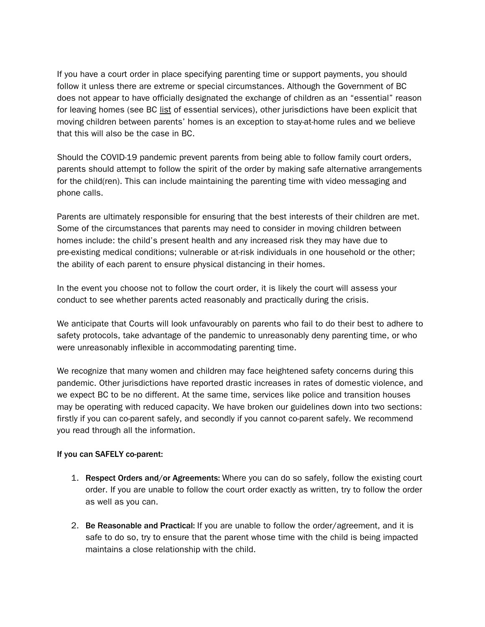If you have a court order in place specifying parenting time or support payments, you should follow it unless there are extreme or special circumstances. Although the Government of BC does not appear to have officially designated the exchange of children as an "essential" reason for leaving homes (see BC [list](https://www2.gov.bc.ca/gov/content/safety/emergency-preparedness-response-recovery/covid-19-provincial-support/essential-services-covid-19#non-health) of essential services), other jurisdictions have been explicit that moving children between parents' homes is an exception to stay-at-home rules and we believe that this will also be the case in BC.

Should the COVID-19 pandemic prevent parents from being able to follow family court orders, parents should attempt to follow the spirit of the order by making safe alternative arrangements for the child(ren). This can include maintaining the parenting time with video messaging and phone calls.

Parents are ultimately responsible for ensuring that the best interests of their children are met. Some of the circumstances that parents may need to consider in moving children between homes include: the child's present health and any increased risk they may have due to pre-existing medical conditions; vulnerable or at-risk individuals in one household or the other; the ability of each parent to ensure physical distancing in their homes.

In the event you choose not to follow the court order, it is likely the court will assess your conduct to see whether parents acted reasonably and practically during the crisis.

We anticipate that Courts will look unfavourably on parents who fail to do their best to adhere to safety protocols, take advantage of the pandemic to unreasonably deny parenting time, or who were unreasonably inflexible in accommodating parenting time.

We recognize that many women and children may face heightened safety concerns during this pandemic. Other jurisdictions have reported drastic increases in rates of domestic violence, and we expect BC to be no different. At the same time, services like police and transition houses may be operating with reduced capacity. We have broken our guidelines down into two sections: firstly if you can co-parent safely, and secondly if you cannot co-parent safely. We recommend you read through all the information.

#### If you can SAFELY co-parent:

- 1. Respect Orders and/or Agreements: Where you can do so safely, follow the existing court order. If you are unable to follow the court order exactly as written, try to follow the order as well as you can.
- 2. Be Reasonable and Practical: If you are unable to follow the order/agreement, and it is safe to do so, try to ensure that the parent whose time with the child is being impacted maintains a close relationship with the child.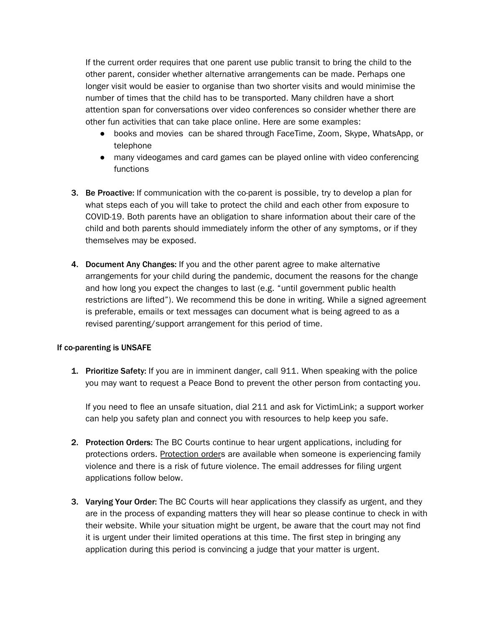If the current order requires that one parent use public transit to bring the child to the other parent, consider whether alternative arrangements can be made. Perhaps one longer visit would be easier to organise than two shorter visits and would minimise the number of times that the child has to be transported. Many children have a short attention span for conversations over video conferences so consider whether there are other fun activities that can take place online. Here are some examples:

- books and movies can be shared through FaceTime, Zoom, Skype, WhatsApp, or telephone
- many videogames and card games can be played online with video conferencing functions
- 3. Be Proactive: If communication with the co-parent is possible, try to develop a plan for what steps each of you will take to protect the child and each other from exposure to COVID-19. Both parents have an obligation to share information about their care of the child and both parents should immediately inform the other of any symptoms, or if they themselves may be exposed.
- 4. Document Any Changes: If you and the other parent agree to make alternative arrangements for your child during the pandemic, document the reasons for the change and how long you expect the changes to last (e.g. "until government public health restrictions are lifted"). We recommend this be done in writing. While a signed agreement is preferable, emails or text messages can document what is being agreed to as a revised parenting/support arrangement for this period of time.

#### If co-parenting is UNSAFE

1. Prioritize Safety: If you are in imminent danger, call 911. When speaking with the police you may want to request a Peace Bond to prevent the other person from contacting you.

If you need to flee an unsafe situation, dial 211 and ask for VictimLink; a support worker can help you safety plan and connect you with resources to help keep you safe.

- 2. Protection Orders: The BC Courts continue to hear urgent applications, including for protections orders. [Protection](https://pubsdb.lss.bc.ca/pdfs/pubs/For-Your-Protection-eng.pdf) order[s](https://pubsdb.lss.bc.ca/pdfs/pubs/For-Your-Protection-eng.pdf) are available when someone is experiencing family violence and there is a risk of future violence. The email addresses for filing urgent applications follow below.
- 3. Varying Your Order: The BC Courts will hear applications they classify as urgent, and they are in the process of expanding matters they will hear so please continue to check in with their website. While your situation might be urgent, be aware that the court may not find it is urgent under their limited operations at this time. The first step in bringing any application during this period is convincing a judge that your matter is urgent.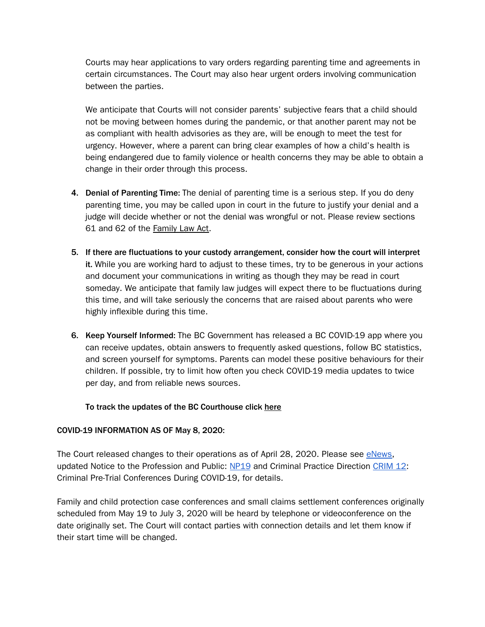Courts may hear applications to vary orders regarding parenting time and agreements in certain circumstances. The Court may also hear urgent orders involving communication between the parties.

We anticipate that Courts will not consider parents' subjective fears that a child should not be moving between homes during the pandemic, or that another parent may not be as compliant with health advisories as they are, will be enough to meet the test for urgency. However, where a parent can bring clear examples of how a child's health is being endangered due to family violence or health concerns they may be able to obtain a change in their order through this process.

- 4. Denial of Parenting Time: The denial of parenting time is a serious step. If you do deny parenting time, you may be called upon in court in the future to justify your denial and a judge will decide whether or not the denial was wrongful or not. Please review sections 61 and 62 of the [Family](http://www.bclaws.ca/civix/document/id/complete/statreg/11025_04) Law Act.
- 5. If there are fluctuations to your custody arrangement, consider how the court will interpret it. While you are working hard to adjust to these times, try to be generous in your actions and document your communications in writing as though they may be read in court someday. We anticipate that family law judges will expect there to be fluctuations during this time, and will take seriously the concerns that are raised about parents who were highly inflexible during this time.
- 6. Keep Yourself Informed: The BC Government has released a BC COVID-19 app where you can receive updates, obtain answers to frequently asked questions, follow BC statistics, and screen yourself for symptoms. Parents can model these positive behaviours for their children. If possible, try to limit how often you check COVID-19 media updates to twice per day, and from reliable news sources.

#### To track the updates of the BC Courthouse click [here](https://www2.gov.bc.ca/gov/content/justice/courthouse-services/courthouse-roles/court-registry-services)

#### COVID-19 INFORMATION AS OF May 8, 2020:

The Court released changes to their operations as of April 28, 2020. Please see [eNews,](https://www.provincialcourt.bc.ca/enews/enews-28-04-2020) updated Notice to the Profession and Public: [NP19](https://www.provincialcourt.bc.ca/downloads/Practice%20Directions/NP%2019%20COVID-19%20Suspension%20of%20Regular%20Court%20Operations.pdf) and Criminal Practice Direction [CRIM](https://www.provincialcourt.bc.ca/downloads/Practice%20Directions/CRIM%2012%20Criminal%20Pre-Trial%20Conferences%20During%20COVID-19.pdf) 12: Criminal Pre-Trial Conferences During COVID-19, for details.

Family and child protection case conferences and small claims settlement conferences originally scheduled from May 19 to July 3, 2020 will be heard by telephone or videoconference on the date originally set. The Court will contact parties with connection details and let them know if their start time will be changed.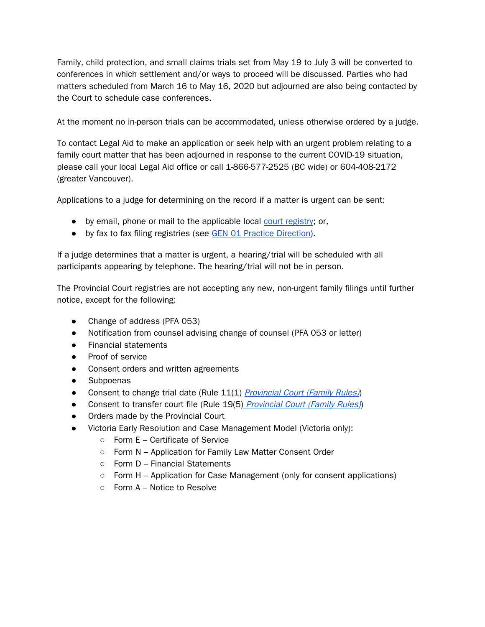Family, child protection, and small claims trials set from May 19 to July 3 will be converted to conferences in which settlement and/or ways to proceed will be discussed. Parties who had matters scheduled from March 16 to May 16, 2020 but adjourned are also being contacted by the Court to schedule case conferences.

At the moment no in-person trials can be accommodated, unless otherwise ordered by a judge.

To contact Legal Aid to make an application or seek help with an urgent problem relating to a family court matter that has been adjourned in response to the current COVID-19 situation, please call your local Legal Aid office or call 1-866-577-2525 (BC wide) or 604-408-2172 (greater Vancouver).

Applications to a judge for determining on the record if a matter is urgent can be sent:

- by email, phone or mail to the applicable local court [registry](https://www2.gov.bc.ca/gov/content/justice/courthouse-services/courthouse-locations); or,
- by fax to fax filing registries (see GEN 01 Practice [Direction](https://www.provincialcourt.bc.ca/downloads/Practice%20Directions/GEN%2001%20Fax%20Filing%20Registries%20-%20Family%20and%20Small%20Claims.pdf)).

If a judge determines that a matter is urgent, a hearing/trial will be scheduled with all participants appearing by telephone. The hearing/trial will not be in person.

The Provincial Court registries are not accepting any new, non-urgent family filings until further notice, except for the following:

- Change of address (PFA 053)
- Notification from counsel advising change of counsel (PFA 053 or letter)
- Financial statements
- Proof of service
- Consent orders and written agreements
- Subpoenas
- Consent to change trial date (Rule 11(1) [Provincial](http://www.bclaws.ca/civix/document/id/complete/statreg/417_98_01#rule14) Court (Family Rules))
- Consent to transfer court file (Rule 19(5) [Provincial](http://www.bclaws.ca/civix/document/id/complete/statreg/417_98_01#rule14) Court (Family Rules))
- Orders made by the Provincial Court
- Victoria Early Resolution and Case Management Model (Victoria only):
	- Form E Certificate of Service
	- Form N Application for Family Law Matter Consent Order
	- Form D Financial Statements
	- $\circ$  Form H Application for Case Management (only for consent applications)
	- $\circ$  Form A Notice to Resolve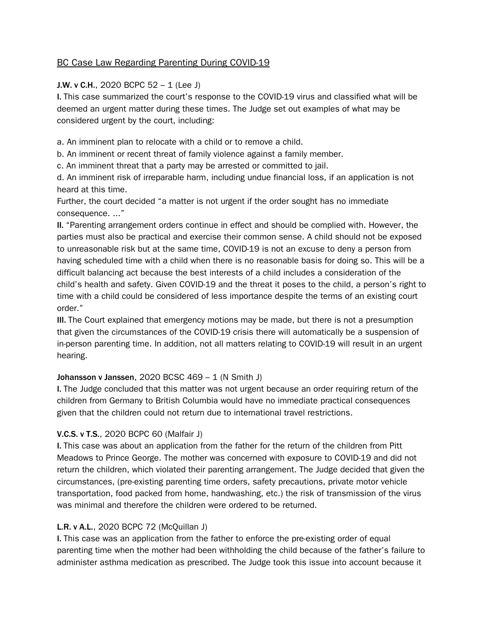# BC Case Law Regarding Parenting During COVID-19

## J.W. v C.H., 2020 BCPC  $52 - 1$  (Lee J)

I. This case summarized the court's response to the COVID-19 virus and classified what will be deemed an urgent matter during these times. The Judge set out examples of what may be considered urgent by the court, including:

a. An imminent plan to relocate with a child or to remove a child.

b. An imminent or recent threat of family violence against a family member.

c. An imminent threat that a party may be arrested or committed to jail.

d. An imminent risk of irreparable harm, including undue financial loss, if an application is not heard at this time.

Further, the court decided "a matter is not urgent if the order sought has no immediate consequence. ..."

II. "Parenting arrangement orders continue in effect and should be complied with. However, the parties must also be practical and exercise their common sense. A child should not be exposed to unreasonable risk but at the same time, COVID-19 is not an excuse to deny a person from having scheduled time with a child when there is no reasonable basis for doing so. This will be a difficult balancing act because the best interests of a child includes a consideration of the child's health and safety. Given COVID-19 and the threat it poses to the child, a person's right to time with a child could be considered of less importance despite the terms of an existing court order."

III. The Court explained that emergency motions may be made, but there is not a presumption that given the circumstances of the COVID-19 crisis there will automatically be a suspension of in-person parenting time. In addition, not all matters relating to COVID-19 will result in an urgent hearing.

## **Johansson v Janssen, 2020 BCSC 469 – 1 (N Smith J)**

I. The Judge concluded that this matter was not urgent because an order requiring return of the children from Germany to British Columbia would have no immediate practical consequences given that the children could not return due to international travel restrictions.

## V.C.S. v T.S., 2020 BCPC 60 (Malfair J)

I. This case was about an application from the father for the return of the children from Pitt Meadows to Prince George. The mother was concerned with exposure to COVID-19 and did not return the children, which violated their parenting arrangement. The Judge decided that given the circumstances, (pre-existing parenting time orders, safety precautions, private motor vehicle transportation, food packed from home, handwashing, etc.) the risk of transmission of the virus was minimal and therefore the children were ordered to be returned.

## L.R. v A.L., 2020 BCPC 72 (McQuillan J)

I. This case was an application from the father to enforce the pre-existing order of equal parenting time when the mother had been withholding the child because of the father's failure to administer asthma medication as prescribed. The Judge took this issue into account because it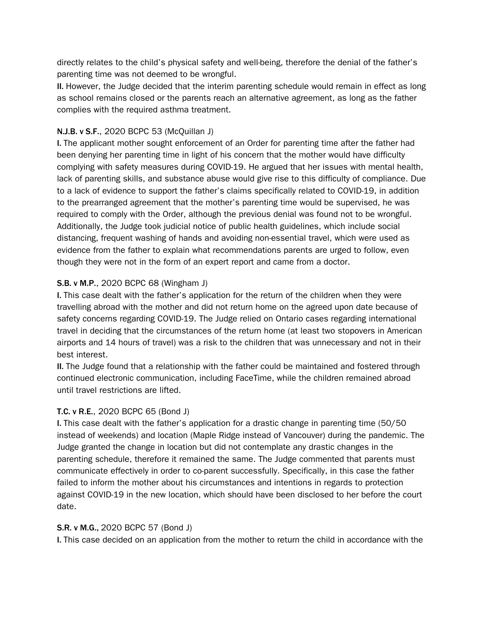directly relates to the child's physical safety and well-being, therefore the denial of the father's parenting time was not deemed to be wrongful.

II. However, the Judge decided that the interim parenting schedule would remain in effect as long as school remains closed or the parents reach an alternative agreement, as long as the father complies with the required asthma treatment.

# N.J.B. v S.F., 2020 BCPC 53 (McQuillan J)

I. The applicant mother sought enforcement of an Order for parenting time after the father had been denying her parenting time in light of his concern that the mother would have difficulty complying with safety measures during COVID-19. He argued that her issues with mental health, lack of parenting skills, and substance abuse would give rise to this difficulty of compliance. Due to a lack of evidence to support the father's claims specifically related to COVID-19, in addition to the prearranged agreement that the mother's parenting time would be supervised, he was required to comply with the Order, although the previous denial was found not to be wrongful. Additionally, the Judge took judicial notice of public health guidelines, which include social distancing, frequent washing of hands and avoiding non-essential travel, which were used as evidence from the father to explain what recommendations parents are urged to follow, even though they were not in the form of an expert report and came from a doctor.

## S.B. v M.P., 2020 BCPC 68 (Wingham J)

I. This case dealt with the father's application for the return of the children when they were travelling abroad with the mother and did not return home on the agreed upon date because of safety concerns regarding COVID-19. The Judge relied on Ontario cases regarding international travel in deciding that the circumstances of the return home (at least two stopovers in American airports and 14 hours of travel) was a risk to the children that was unnecessary and not in their best interest.

II. The Judge found that a relationship with the father could be maintained and fostered through continued electronic communication, including FaceTime, while the children remained abroad until travel restrictions are lifted.

## T.C. v R.E., 2020 BCPC 65 (Bond J)

I. This case dealt with the father's application for a drastic change in parenting time (50/50 instead of weekends) and location (Maple Ridge instead of Vancouver) during the pandemic. The Judge granted the change in location but did not contemplate any drastic changes in the parenting schedule, therefore it remained the same. The Judge commented that parents must communicate effectively in order to co-parent successfully. Specifically, in this case the father failed to inform the mother about his circumstances and intentions in regards to protection against COVID-19 in the new location, which should have been disclosed to her before the court date.

## S.R. v M.G., 2020 BCPC 57 (Bond J)

I. This case decided on an application from the mother to return the child in accordance with the